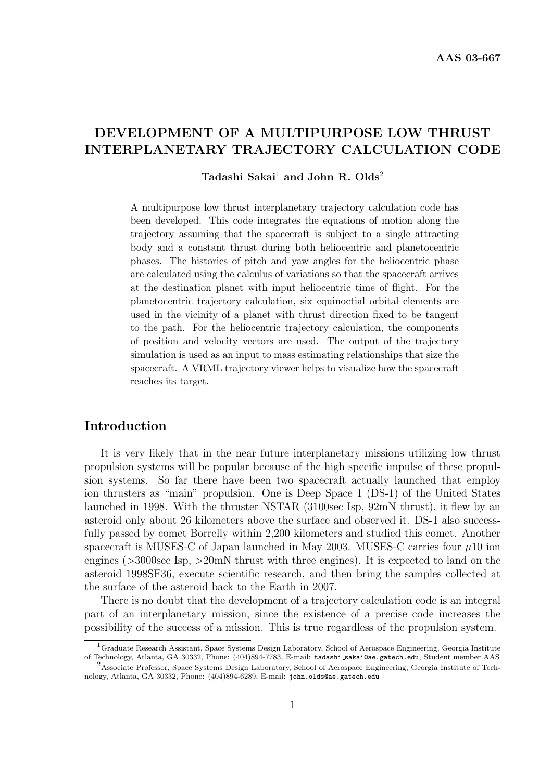# DEVELOPMENT OF A MULTIPURPOSE LOW THRUST INTERPLANETARY TRAJECTORY CALCULATION CODE

## Tadashi Sakai<sup>1</sup> and John R. Olds<sup>2</sup>

A multipurpose low thrust interplanetary trajectory calculation code has been developed. This code integrates the equations of motion along the trajectory assuming that the spacecraft is subject to a single attracting body and a constant thrust during both heliocentric and planetocentric phases. The histories of pitch and yaw angles for the heliocentric phase are calculated using the calculus of variations so that the spacecraft arrives at the destination planet with input heliocentric time of flight. For the planetocentric trajectory calculation, six equinoctial orbital elements are used in the vicinity of a planet with thrust direction fixed to be tangent to the path. For the heliocentric trajectory calculation, the components of position and velocity vectors are used. The output of the trajectory simulation is used as an input to mass estimating relationships that size the spacecraft. A VRML trajectory viewer helps to visualize how the spacecraft reaches its target.

## Introduction

It is very likely that in the near future interplanetary missions utilizing low thrust propulsion systems will be popular because of the high specific impulse of these propulsion systems. So far there have been two spacecraft actually launched that employ ion thrusters as "main" propulsion. One is Deep Space 1 (DS-1) of the United States launched in 1998. With the thruster NSTAR (3100sec Isp, 92mN thrust), it flew by an asteroid only about 26 kilometers above the surface and observed it. DS-1 also successfully passed by comet Borrelly within 2,200 kilometers and studied this comet. Another spacecraft is MUSES-C of Japan launched in May 2003. MUSES-C carries four  $\mu$ 10 ion engines  $(>\!\!3000\!\!,\text{sec}$  Isp,  $>\!\!20\text{mN}$  thrust with three engines). It is expected to land on the asteroid 1998SF36, execute scientific research, and then bring the samples collected at the surface of the asteroid back to the Earth in 2007.

There is no doubt that the development of a trajectory calculation code is an integral part of an interplanetary mission, since the existence of a precise code increases the possibility of the success of a mission. This is true regardless of the propulsion system.

<sup>1</sup>Graduate Research Assistant, Space Systems Design Laboratory, School of Aerospace Engineering, Georgia Institute of Technology, Atlanta, GA 30332, Phone: (404)894-7783, E-mail: tadashi sakai@ae.gatech.edu, Student member AAS <sup>2</sup>Associate Professor, Space Systems Design Laboratory, School of Aerospace Engineering, Georgia Institute of Tech-

nology, Atlanta, GA 30332, Phone: (404)894-6289, E-mail: john.olds@ae.gatech.edu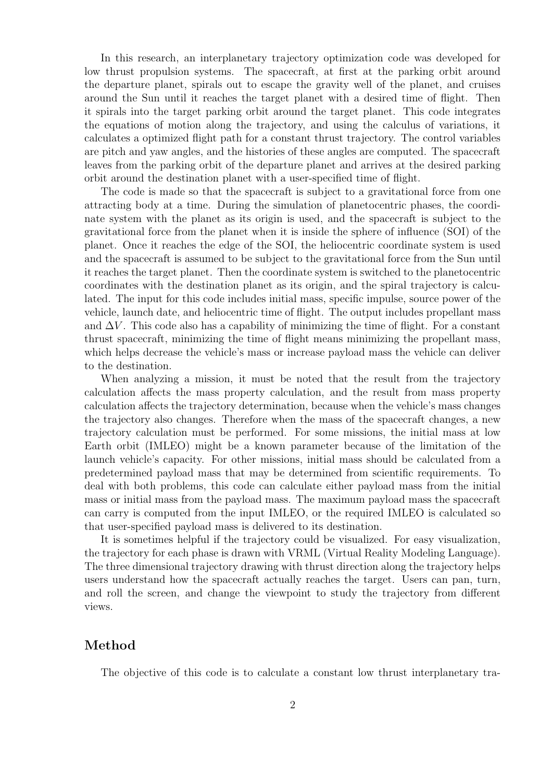In this research, an interplanetary trajectory optimization code was developed for low thrust propulsion systems. The spacecraft, at first at the parking orbit around the departure planet, spirals out to escape the gravity well of the planet, and cruises around the Sun until it reaches the target planet with a desired time of flight. Then it spirals into the target parking orbit around the target planet. This code integrates the equations of motion along the trajectory, and using the calculus of variations, it calculates a optimized flight path for a constant thrust trajectory. The control variables are pitch and yaw angles, and the histories of these angles are computed. The spacecraft leaves from the parking orbit of the departure planet and arrives at the desired parking orbit around the destination planet with a user-specified time of flight.

The code is made so that the spacecraft is subject to a gravitational force from one attracting body at a time. During the simulation of planetocentric phases, the coordinate system with the planet as its origin is used, and the spacecraft is subject to the gravitational force from the planet when it is inside the sphere of influence (SOI) of the planet. Once it reaches the edge of the SOI, the heliocentric coordinate system is used and the spacecraft is assumed to be subject to the gravitational force from the Sun until it reaches the target planet. Then the coordinate system is switched to the planetocentric coordinates with the destination planet as its origin, and the spiral trajectory is calculated. The input for this code includes initial mass, specific impulse, source power of the vehicle, launch date, and heliocentric time of flight. The output includes propellant mass and  $\Delta V$ . This code also has a capability of minimizing the time of flight. For a constant thrust spacecraft, minimizing the time of flight means minimizing the propellant mass, which helps decrease the vehicle's mass or increase payload mass the vehicle can deliver to the destination.

When analyzing a mission, it must be noted that the result from the trajectory calculation affects the mass property calculation, and the result from mass property calculation affects the trajectory determination, because when the vehicle's mass changes the trajectory also changes. Therefore when the mass of the spacecraft changes, a new trajectory calculation must be performed. For some missions, the initial mass at low Earth orbit (IMLEO) might be a known parameter because of the limitation of the launch vehicle's capacity. For other missions, initial mass should be calculated from a predetermined payload mass that may be determined from scientific requirements. To deal with both problems, this code can calculate either payload mass from the initial mass or initial mass from the payload mass. The maximum payload mass the spacecraft can carry is computed from the input IMLEO, or the required IMLEO is calculated so that user-specified payload mass is delivered to its destination.

It is sometimes helpful if the trajectory could be visualized. For easy visualization, the trajectory for each phase is drawn with VRML (Virtual Reality Modeling Language). The three dimensional trajectory drawing with thrust direction along the trajectory helps users understand how the spacecraft actually reaches the target. Users can pan, turn, and roll the screen, and change the viewpoint to study the trajectory from different views.

## Method

The objective of this code is to calculate a constant low thrust interplanetary tra-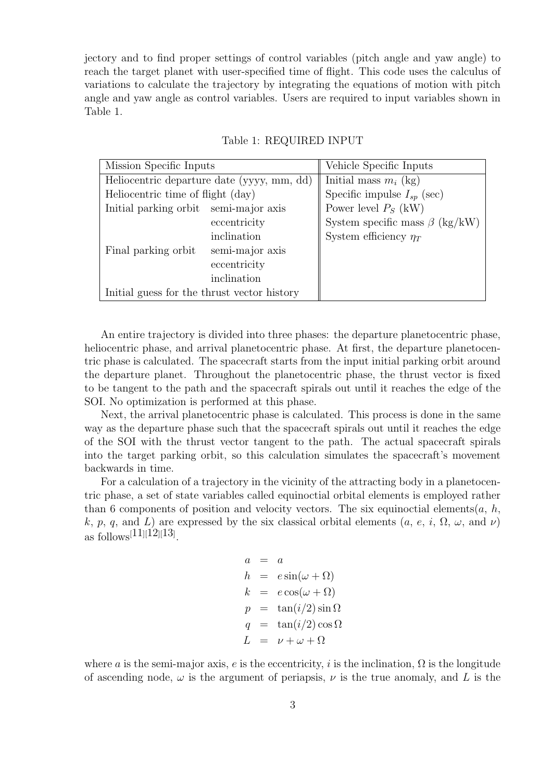jectory and to find proper settings of control variables (pitch angle and yaw angle) to reach the target planet with user-specified time of flight. This code uses the calculus of variations to calculate the trajectory by integrating the equations of motion with pitch angle and yaw angle as control variables. Users are required to input variables shown in Table 1.

| Mission Specific Inputs                     |                 | Vehicle Specific Inputs              |
|---------------------------------------------|-----------------|--------------------------------------|
| Heliocentric departure date (yyyy, mm, dd)  |                 | Initial mass $m_i$ (kg)              |
| Heliocentric time of flight (day)           |                 | Specific impulse $I_{sp}$ (sec)      |
| Initial parking orbit semi-major axis       |                 | Power level $P_S$ (kW)               |
|                                             | eccentricity    | System specific mass $\beta$ (kg/kW) |
|                                             | inclination     | System efficiency $\eta_T$           |
| Final parking orbit                         | semi-major axis |                                      |
|                                             | eccentricity    |                                      |
|                                             | inclination     |                                      |
| Initial guess for the thrust vector history |                 |                                      |

### Table 1: REQUIRED INPUT

An entire trajectory is divided into three phases: the departure planetocentric phase, heliocentric phase, and arrival planetocentric phase. At first, the departure planetocentric phase is calculated. The spacecraft starts from the input initial parking orbit around the departure planet. Throughout the planetocentric phase, the thrust vector is fixed to be tangent to the path and the spacecraft spirals out until it reaches the edge of the SOI. No optimization is performed at this phase.

Next, the arrival planetocentric phase is calculated. This process is done in the same way as the departure phase such that the spacecraft spirals out until it reaches the edge of the SOI with the thrust vector tangent to the path. The actual spacecraft spirals into the target parking orbit, so this calculation simulates the spacecraft's movement backwards in time.

For a calculation of a trajectory in the vicinity of the attracting body in a planetocentric phase, a set of state variables called equinoctial orbital elements is employed rather than 6 components of position and velocity vectors. The six equinoctial elements(a, h, k, p, q, and L) are expressed by the six classical orbital elements  $(a, e, i, \Omega, \omega, \text{ and } \nu)$ as follows<sup>[11]</sup>[12][13].

$$
a = a
$$
  
\n
$$
h = e \sin(\omega + \Omega)
$$
  
\n
$$
k = e \cos(\omega + \Omega)
$$
  
\n
$$
p = \tan(i/2) \sin \Omega
$$
  
\n
$$
q = \tan(i/2) \cos \Omega
$$
  
\n
$$
L = \nu + \omega + \Omega
$$

where a is the semi-major axis, e is the eccentricity, i is the inclination,  $\Omega$  is the longitude of ascending node,  $\omega$  is the argument of periapsis,  $\nu$  is the true anomaly, and L is the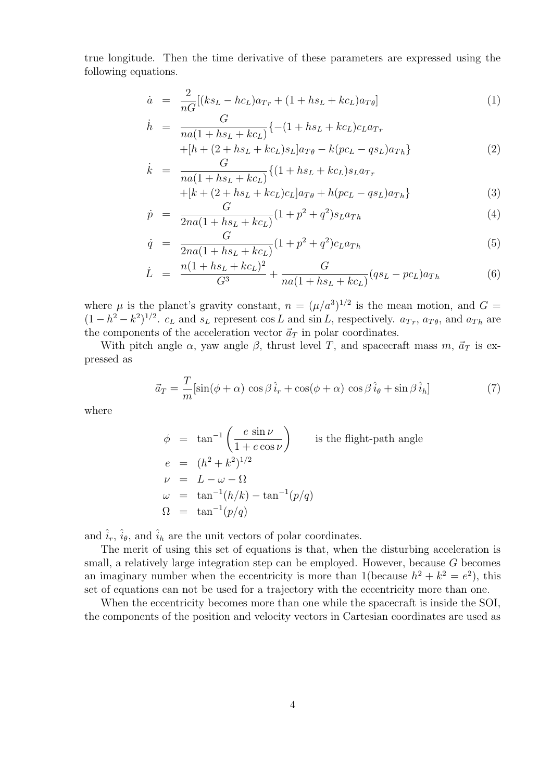true longitude. Then the time derivative of these parameters are expressed using the following equations.

$$
\dot{a} = \frac{2}{nG} [(ks_L - hc_L)a_{Tr} + (1 + hs_L + kc_L)a_{T\theta}] \tag{1}
$$

$$
\dot{h} = \frac{G}{na(1 + hs_L + kc_L)} \{ -(1 + hs_L + kc_L)c_L a_{Tr} \n+ [h + (2 + hs_L + kc_L)s_L] a_{T\theta} - k (pc_L - qs_L) a_{Th} \}
$$
\n(2)

$$
\dot{k} = \frac{G}{na(1 + hs_L + kc_L)} \{ (1 + hs_L + kc_L)s_L a_{Tr} + [k + (2 + hs_L + kc_L)c_L] a_{T\theta} + h(pc_L - qs_L) a_{Th} \}
$$
\n(3)

$$
\dot{p} = \frac{G}{2na(1 + hs_L + kc_L)}(1 + p^2 + q^2)s_L a_{Th}
$$
\n(4)

$$
\dot{q} = \frac{G}{2na(1 + hs_L + kc_L)}(1 + p^2 + q^2)c_L a_{Th}
$$
\n(5)

$$
\dot{L} = \frac{n(1 + hs_L + kc_L)^2}{G^3} + \frac{G}{na(1 + hs_L + kc_L)}(qs_L - pc_L)a_{Th}
$$
(6)

where  $\mu$  is the planet's gravity constant,  $n = (\mu/a^3)^{1/2}$  is the mean motion, and  $G =$  $(1-h^2-k^2)^{1/2}$ .  $c_L$  and  $s_L$  represent cos L and sin L, respectively.  $a_{Tr}$ ,  $a_{T\theta}$ , and  $a_{Th}$  are the components of the acceleration vector  $\vec{a}_T$  in polar coordinates.

With pitch angle  $\alpha$ , yaw angle  $\beta$ , thrust level T, and spacecraft mass m,  $\vec{a}_T$  is expressed as

$$
\vec{a}_T = \frac{T}{m} [\sin(\phi + \alpha) \cos \beta \hat{i}_r + \cos(\phi + \alpha) \cos \beta \hat{i}_\theta + \sin \beta \hat{i}_h]
$$
(7)

where

$$
\phi = \tan^{-1} \left( \frac{e \sin \nu}{1 + e \cos \nu} \right) \qquad \text{is the flight-path angle}
$$
\n
$$
e = (h^2 + k^2)^{1/2}
$$
\n
$$
\nu = L - \omega - \Omega
$$
\n
$$
\omega = \tan^{-1}(h/k) - \tan^{-1}(p/q)
$$
\n
$$
\Omega = \tan^{-1}(p/q)
$$

and  $\hat{i}_r$ ,  $\hat{i}_\theta$ , and  $\hat{i}_h$  are the unit vectors of polar coordinates.

The merit of using this set of equations is that, when the disturbing acceleration is small, a relatively large integration step can be employed. However, because G becomes an imaginary number when the eccentricity is more than 1(because  $h^2 + k^2 = e^2$ ), this set of equations can not be used for a trajectory with the eccentricity more than one.

When the eccentricity becomes more than one while the spacecraft is inside the SOI, the components of the position and velocity vectors in Cartesian coordinates are used as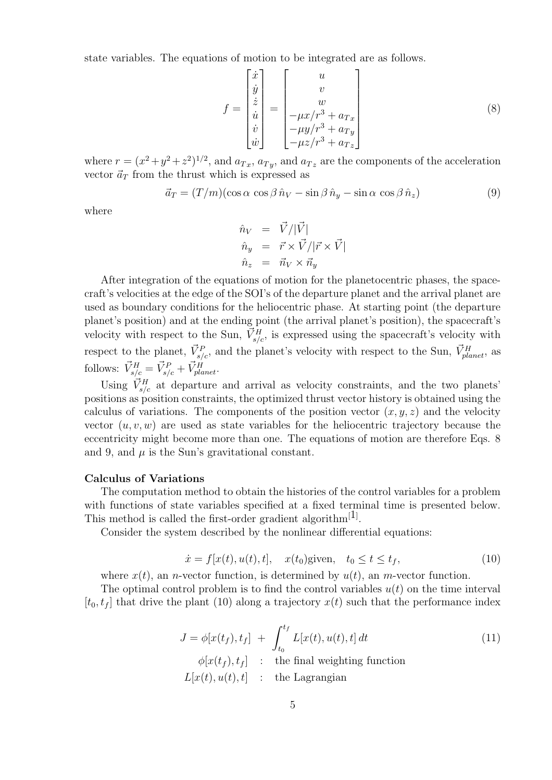state variables. The equations of motion to be integrated are as follows.

$$
f = \begin{bmatrix} \dot{x} \\ \dot{y} \\ \dot{z} \\ \dot{u} \\ \dot{v} \\ \dot{w} \end{bmatrix} = \begin{bmatrix} u \\ v \\ w \\ -\mu x/r^3 + a_{Tx} \\ -\mu y/r^3 + a_{Ty} \\ -\mu z/r^3 + a_{Tx} \\ -\mu z/r^3 + a_{Tx} \end{bmatrix}
$$
(8)

where  $r = (x^2 + y^2 + z^2)^{1/2}$ , and  $a_{Tx}$ ,  $a_{Ty}$ , and  $a_{Tx}$  are the components of the acceleration vector  $\vec{a}_T$  from the thrust which is expressed as

$$
\vec{a}_T = (T/m)(\cos\alpha\cos\beta\,\hat{n}_V - \sin\beta\,\hat{n}_y - \sin\alpha\,\cos\beta\,\hat{n}_z)
$$
(9)

where

$$
\begin{array}{rcl} \hat{n}_V &=& \vec{V}/|\vec{V}| \\ \hat{n}_y &=& \vec{r} \times \vec{V}/|\vec{r} \times \vec{V}| \\ \hat{n}_z &=& \vec{n}_V \times \vec{n}_y \end{array}
$$

After integration of the equations of motion for the planetocentric phases, the spacecraft's velocities at the edge of the SOI's of the departure planet and the arrival planet are used as boundary conditions for the heliocentric phase. At starting point (the departure planet's position) and at the ending point (the arrival planet's position), the spacecraft's velocity with respect to the Sun,  $\vec{V}_{s/c}^H$ , is expressed using the spacecraft's velocity with respect to the planet,  $\vec{V}_{s/c}^P$ , and the planet's velocity with respect to the Sun,  $\vec{V}_{planet}^H$ , as follows:  $\vec{V}_{s/c}^H = \vec{V}_{s/c}^P + \vec{V}_{planet}^H$ .

Using  $\vec{V}^H_{s/c}$  at departure and arrival as velocity constraints, and the two planets' positions as position constraints, the optimized thrust vector history is obtained using the calculus of variations. The components of the position vector  $(x, y, z)$  and the velocity vector  $(u, v, w)$  are used as state variables for the heliocentric trajectory because the eccentricity might become more than one. The equations of motion are therefore Eqs. 8 and 9, and  $\mu$  is the Sun's gravitational constant.

### Calculus of Variations

The computation method to obtain the histories of the control variables for a problem with functions of state variables specified at a fixed terminal time is presented below. This method is called the first-order gradient algorithm<sup>[1]</sup>.

Consider the system described by the nonlinear differential equations:

$$
\dot{x} = f[x(t), u(t), t], \quad x(t_0) \text{given}, \quad t_0 \le t \le t_f,\tag{10}
$$

where  $x(t)$ , an *n*-vector function, is determined by  $u(t)$ , an *m*-vector function.

The optimal control problem is to find the control variables  $u(t)$  on the time interval  $[t_0,t_f]$  that drive the plant (10) along a trajectory  $x(t)$  such that the performance index

$$
J = \phi[x(t_f), t_f] + \int_{t_0}^{t_f} L[x(t), u(t), t] dt
$$
  
\n
$$
\phi[x(t_f), t_f] : \text{the final weighting function}
$$
  
\n
$$
L[x(t), u(t), t] : \text{the Lagrangian}
$$
\n(11)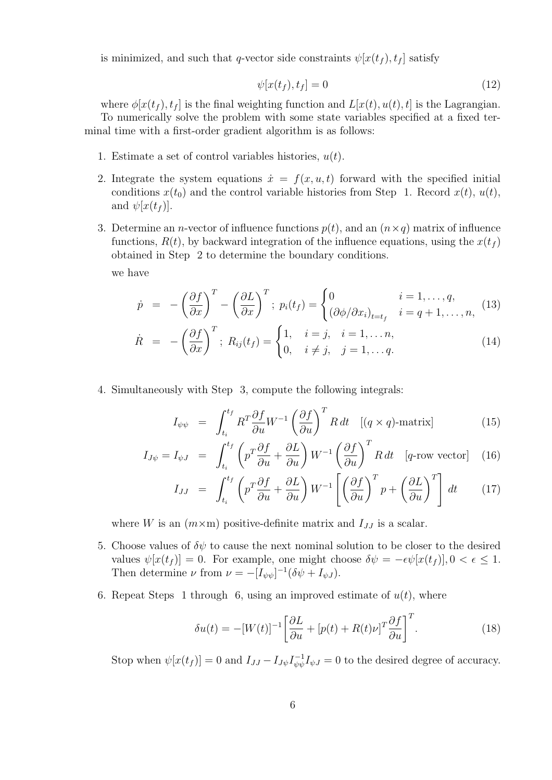is minimized, and such that q-vector side constraints  $\psi[x(t_f), t_f]$  satisfy

$$
\psi[x(t_f), t_f] = 0 \tag{12}
$$

where  $\phi[x(t_f),t_f]$  is the final weighting function and  $L[x(t),u(t),t]$  is the Lagrangian. To numerically solve the problem with some state variables specified at a fixed ter-

minal time with a first-order gradient algorithm is as follows:

- 1. Estimate a set of control variables histories,  $u(t)$ .
- 2. Integrate the system equations  $\dot{x} = f(x, u, t)$  forward with the specified initial conditions  $x(t_0)$  and the control variable histories from Step 1. Record  $x(t)$ ,  $u(t)$ , and  $\psi[x(t_f)]$ .
- 3. Determine an *n*-vector of influence functions  $p(t)$ , and an  $(n \times q)$  matrix of influence functions,  $R(t)$ , by backward integration of the influence equations, using the  $x(t_f)$ obtained in Step 2 to determine the boundary conditions.

we have

$$
\dot{p} = -\left(\frac{\partial f}{\partial x}\right)^{T} - \left(\frac{\partial L}{\partial x}\right)^{T}; \ p_{i}(t_{f}) = \begin{cases} 0 & i = 1, \dots, q, \\ (\partial \phi/\partial x_{i})_{t=t_{f}} & i = q+1, \dots, n, \end{cases}
$$
(13)

$$
\dot{R} = -\left(\frac{\partial f}{\partial x}\right)^T; R_{ij}(t_f) = \begin{cases} 1, & i = j, \quad i = 1, \dots n, \\ 0, & i \neq j, \quad j = 1, \dots q. \end{cases} \tag{14}
$$

4. Simultaneously with Step 3, compute the following integrals:

$$
I_{\psi\psi} = \int_{t_i}^{t_f} R^T \frac{\partial f}{\partial u} W^{-1} \left(\frac{\partial f}{\partial u}\right)^T R dt \quad [(q \times q) \text{-matrix}] \tag{15}
$$

$$
I_{J\psi} = I_{\psi J} = \int_{t_i}^{t_f} \left( p^T \frac{\partial f}{\partial u} + \frac{\partial L}{\partial u} \right) W^{-1} \left( \frac{\partial f}{\partial u} \right)^T R dt \quad [q\text{-row vector}] \quad (16)
$$

$$
I_{JJ} = \int_{t_i}^{t_f} \left( p^T \frac{\partial f}{\partial u} + \frac{\partial L}{\partial u} \right) W^{-1} \left[ \left( \frac{\partial f}{\partial u} \right)^T p + \left( \frac{\partial L}{\partial u} \right)^T \right] dt \qquad (17)
$$

where W is an  $(m \times m)$  positive-definite matrix and  $I_{JJ}$  is a scalar.

- 5. Choose values of  $\delta\psi$  to cause the next nominal solution to be closer to the desired values  $\psi[x(t_f)] = 0$ . For example, one might choose  $\delta \psi = -\epsilon \psi[x(t_f)], 0 < \epsilon \leq 1$ . Then determine  $\nu$  from  $\nu = -[I_{\psi\psi}]^{-1}(\delta\psi + I_{\psi J}).$
- 6. Repeat Steps 1 through 6, using an improved estimate of  $u(t)$ , where

$$
\delta u(t) = -[W(t)]^{-1} \left[ \frac{\partial L}{\partial u} + [p(t) + R(t)\nu]^T \frac{\partial f}{\partial u} \right]^T.
$$
 (18)

Stop when  $\psi[x(t_f)] = 0$  and  $I_{JJ} - I_{J\psi}I_{\psi\psi}^{-1}$  $\psi_{\psi\psi}^{-1}I_{\psi} = 0$  to the desired degree of accuracy.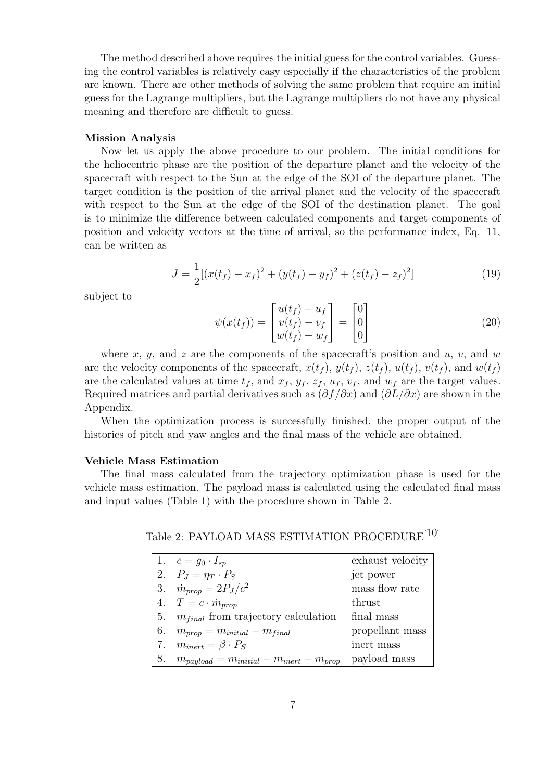The method described above requires the initial guess for the control variables. Guessing the control variables is relatively easy especially if the characteristics of the problem are known. There are other methods of solving the same problem that require an initial guess for the Lagrange multipliers, but the Lagrange multipliers do not have any physical meaning and therefore are difficult to guess.

#### Mission Analysis

Now let us apply the above procedure to our problem. The initial conditions for the heliocentric phase are the position of the departure planet and the velocity of the spacecraft with respect to the Sun at the edge of the SOI of the departure planet. The target condition is the position of the arrival planet and the velocity of the spacecraft with respect to the Sun at the edge of the SOI of the destination planet. The goal is to minimize the difference between calculated components and target components of position and velocity vectors at the time of arrival, so the performance index, Eq. 11, can be written as

$$
J = \frac{1}{2} [(x(t_f) - x_f)^2 + (y(t_f) - y_f)^2 + (z(t_f) - z_f)^2]
$$
\n(19)

subject to

$$
\psi(x(t_f)) = \begin{bmatrix} u(t_f) - u_f \\ v(t_f) - v_f \\ w(t_f) - w_f \end{bmatrix} = \begin{bmatrix} 0 \\ 0 \\ 0 \end{bmatrix} \tag{20}
$$

where x, y, and z are the components of the spacecraft's position and  $u, v$ , and w are the velocity components of the spacecraft,  $x(t_f)$ ,  $y(t_f)$ ,  $z(t_f)$ ,  $u(t_f)$ ,  $v(t_f)$ , and  $w(t_f)$ are the calculated values at time  $t_f$ , and  $x_f$ ,  $y_f$ ,  $z_f$ ,  $u_f$ ,  $v_f$ , and  $w_f$  are the target values. Required matrices and partial derivatives such as  $(\partial f/\partial x)$  and  $(\partial L/\partial x)$  are shown in the Appendix.

When the optimization process is successfully finished, the proper output of the histories of pitch and yaw angles and the final mass of the vehicle are obtained.

### Vehicle Mass Estimation

The final mass calculated from the trajectory optimization phase is used for the vehicle mass estimation. The payload mass is calculated using the calculated final mass and input values (Table 1) with the procedure shown in Table 2.

Table 2: PAYLOAD MASS ESTIMATION PROCEDURE<sup>[10]</sup>

|    | 1. $c = g_0 \cdot I_{sp}$                          | exhaust velocity |
|----|----------------------------------------------------|------------------|
|    | 2. $P_J = \eta_T \cdot P_S$                        | jet power        |
|    | 3. $\dot{m}_{prop} = 2P_J/c^2$                     | mass flow rate   |
|    | 4. $T = c \cdot \dot{m}_{\text{prop}}$             | thrust           |
| 5. | $m_{final}$ from trajectory calculation            | final mass       |
| 6. | $m_{prop} = m_{initial} - m_{final}$               | propellant mass  |
|    | $m_{inert} = \beta \cdot P_S$                      | inert mass       |
|    | $m_{payload} = m_{initial} - m_{inert} - m_{prop}$ | payload mass     |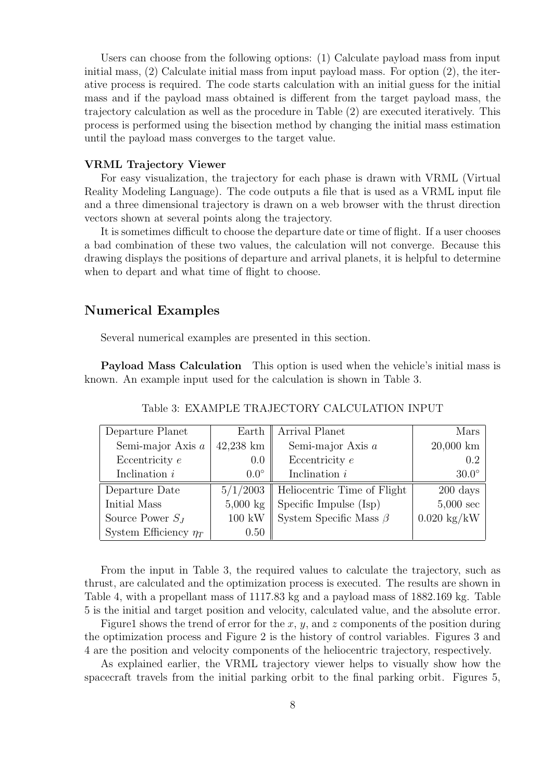Users can choose from the following options: (1) Calculate payload mass from input initial mass, (2) Calculate initial mass from input payload mass. For option (2), the iterative process is required. The code starts calculation with an initial guess for the initial mass and if the payload mass obtained is different from the target payload mass, the trajectory calculation as well as the procedure in Table (2) are executed iteratively. This process is performed using the bisection method by changing the initial mass estimation until the payload mass converges to the target value.

### VRML Trajectory Viewer

For easy visualization, the trajectory for each phase is drawn with VRML (Virtual Reality Modeling Language). The code outputs a file that is used as a VRML input file and a three dimensional trajectory is drawn on a web browser with the thrust direction vectors shown at several points along the trajectory.

It is sometimes difficult to choose the departure date or time of flight. If a user chooses a bad combination of these two values, the calculation will not converge. Because this drawing displays the positions of departure and arrival planets, it is helpful to determine when to depart and what time of flight to choose.

## Numerical Examples

Several numerical examples are presented in this section.

Payload Mass Calculation This option is used when the vehicle's initial mass is known. An example input used for the calculation is shown in Table 3.

| Departure Planet           | Earth              | Arrival Planet                           | Mars                  |
|----------------------------|--------------------|------------------------------------------|-----------------------|
| Semi-major Axis $a$        | $42,238$ km        | Semi-major Axis $a$                      | $20,000 \text{ km}$   |
| Eccentricity $e$           | 0.0                | Eccentricity $e$                         | 0.2                   |
| Inclination $i$            | $0.0^\circ$        | Inclination $i$                          | $30.0^\circ$          |
| Departure Date             |                    | $5/1/2003$   Heliocentric Time of Flight | $200 \text{ days}$    |
| Initial Mass               | $5,000 \text{ kg}$ | Specific Impulse (Isp)                   | $5,000 \text{ sec}$   |
| Source Power $S_J$         | $100 \text{ kW}$   | System Specific Mass $\beta$             | $0.020 \text{ kg/kW}$ |
| System Efficiency $\eta_T$ | 0.50               |                                          |                       |

Table 3: EXAMPLE TRAJECTORY CALCULATION INPUT

From the input in Table 3, the required values to calculate the trajectory, such as thrust, are calculated and the optimization process is executed. The results are shown in Table 4, with a propellant mass of 1117.83 kg and a payload mass of 1882.169 kg. Table 5 is the initial and target position and velocity, calculated value, and the absolute error.

Figure1 shows the trend of error for the x, y, and z components of the position during the optimization process and Figure 2 is the history of control variables. Figures 3 and 4 are the position and velocity components of the heliocentric trajectory, respectively.

As explained earlier, the VRML trajectory viewer helps to visually show how the spacecraft travels from the initial parking orbit to the final parking orbit. Figures 5,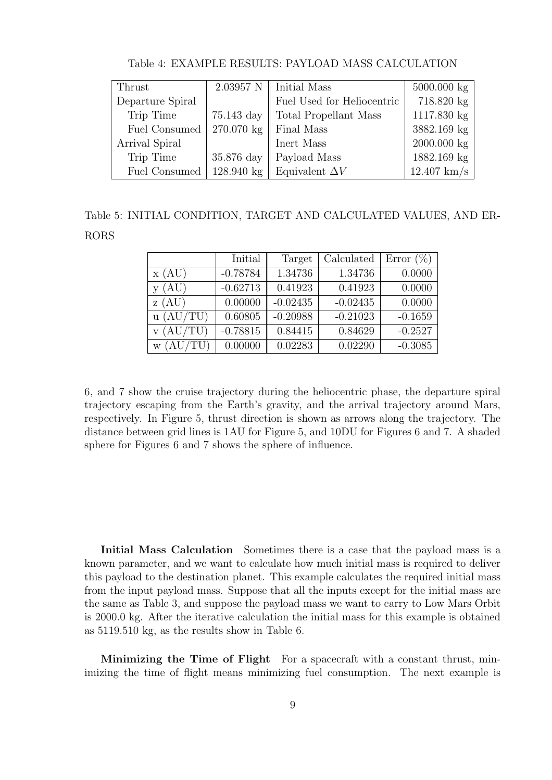| Thrust               |              | $2.03957$ N   Initial Mass | $5000.000 \text{ kg}$ |
|----------------------|--------------|----------------------------|-----------------------|
| Departure Spiral     |              | Fuel Used for Heliocentric | 718.820 kg            |
| Trip Time            | $75.143$ day | Total Propellant Mass      | 1117.830 kg           |
| Fuel Consumed        | 270.070 kg   | Final Mass                 | 3882.169 kg           |
| Arrival Spiral       |              | Inert Mass                 | $2000.000 \text{ kg}$ |
| Trip Time            | 35.876 day   | Payload Mass               | 1882.169 kg           |
| <b>Fuel Consumed</b> | 128.940 kg   | Equivalent $\Delta V$      | $12.407$ km/s         |

Table 4: EXAMPLE RESULTS: PAYLOAD MASS CALCULATION

Table 5: INITIAL CONDITION, TARGET AND CALCULATED VALUES, AND ER-RORS

|           | Initial    | Target     | Calculated | Error $(\%)$ |
|-----------|------------|------------|------------|--------------|
| x(AU)     | $-0.78784$ | 1.34736    | 1.34736    | 0.0000       |
| (AU)      | $-0.62713$ | 0.41923    | 0.41923    | 0.0000       |
| (AU)<br>Z | 0.00000    | $-0.02435$ | $-0.02435$ | 0.0000       |
| u (AU/TU) | 0.60805    | $-0.20988$ | $-0.21023$ | $-0.1659$    |
| AU/TU)    | $-0.78815$ | 0.84415    | 0.84629    | $-0.2527$    |
| AU<br>W   | 0.00000    | 0.02283    | 0.02290    | $-0.3085$    |

6, and 7 show the cruise trajectory during the heliocentric phase, the departure spiral trajectory escaping from the Earth's gravity, and the arrival trajectory around Mars, respectively. In Figure 5, thrust direction is shown as arrows along the trajectory. The distance between grid lines is 1AU for Figure 5, and 10DU for Figures 6 and 7. A shaded sphere for Figures 6 and 7 shows the sphere of influence.

Initial Mass Calculation Sometimes there is a case that the payload mass is a known parameter, and we want to calculate how much initial mass is required to deliver this payload to the destination planet. This example calculates the required initial mass from the input payload mass. Suppose that all the inputs except for the initial mass are the same as Table 3, and suppose the payload mass we want to carry to Low Mars Orbit is 2000.0 kg. After the iterative calculation the initial mass for this example is obtained as 5119.510 kg, as the results show in Table 6.

Minimizing the Time of Flight For a spacecraft with a constant thrust, minimizing the time of flight means minimizing fuel consumption. The next example is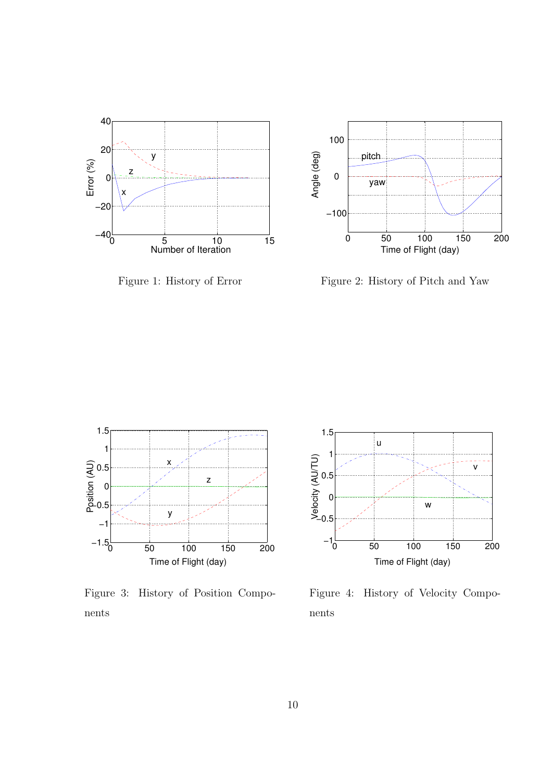

Figure 1: History of Error



Figure 2: History of Pitch and Yaw



Figure 3: History of Position Components



Figure 4: History of Velocity Components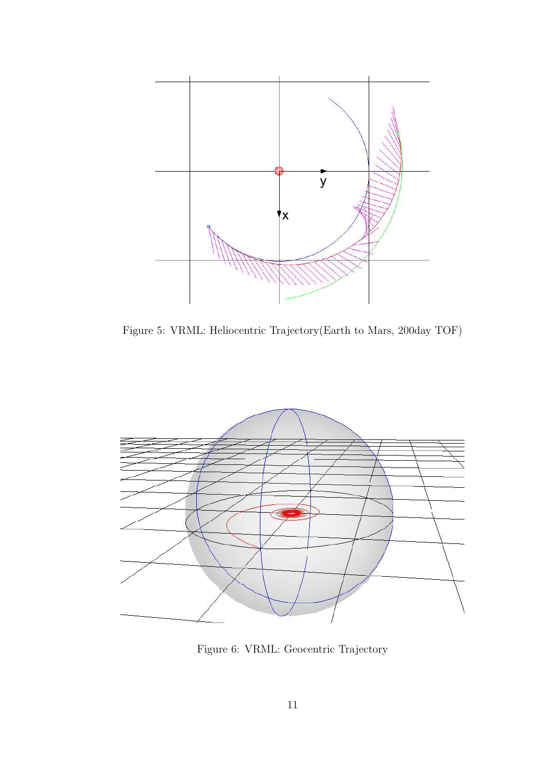

Figure 5: VRML: Heliocentric Trajectory(Earth to Mars, 200day TOF)



Figure 6: VRML: Geocentric Trajectory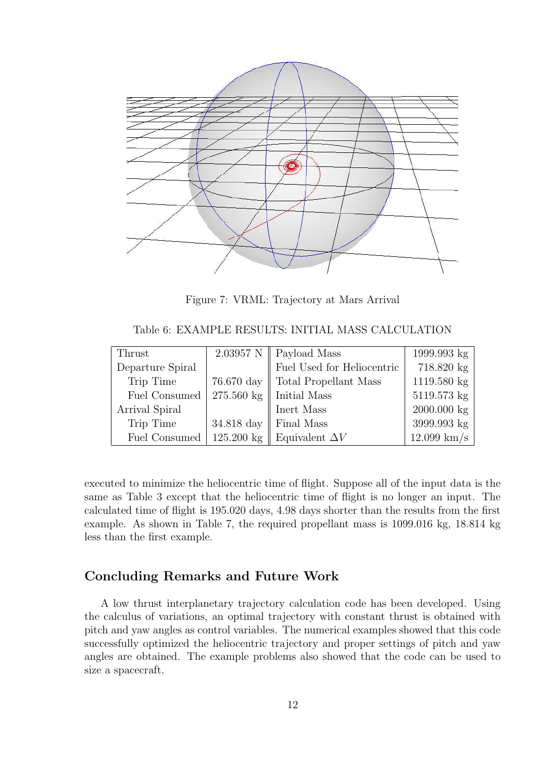

Figure 7: VRML: Trajectory at Mars Arrival

Table 6: EXAMPLE RESULTS: INITIAL MASS CALCULATION

| Thrust               |              | 2.03957 N   Payload Mass                    | $1999.993 \text{ kg}$ |
|----------------------|--------------|---------------------------------------------|-----------------------|
| Departure Spiral     |              | $\operatorname{Fuel}$ Used for Heliocentric | 718.820 kg            |
| Trip Time            | 76.670 day   | Total Propellant Mass                       | 1119.580 kg           |
| <b>Fuel Consumed</b> | $275.560$ kg | Initial Mass                                | 5119.573 kg           |
| Arrival Spiral       |              | Inert Mass                                  | $2000.000 \text{ kg}$ |
| Trip Time            | 34.818 day   | Final Mass                                  | 3999.993 kg           |
| <b>Fuel Consumed</b> |              | 125.200 kg Equivalent $\Delta V$            | $12.099$ km/s         |

executed to minimize the heliocentric time of flight. Suppose all of the input data is the same as Table 3 except that the heliocentric time of flight is no longer an input. The calculated time of flight is 195.020 days, 4.98 days shorter than the results from the first example. As shown in Table 7, the required propellant mass is 1099.016 kg, 18.814 kg less than the first example.

# Concluding Remarks and Future Work

A low thrust interplanetary trajectory calculation code has been developed. Using the calculus of variations, an optimal trajectory with constant thrust is obtained with pitch and yaw angles as control variables. The numerical examples showed that this code successfully optimized the heliocentric trajectory and proper settings of pitch and yaw angles are obtained. The example problems also showed that the code can be used to size a spacecraft.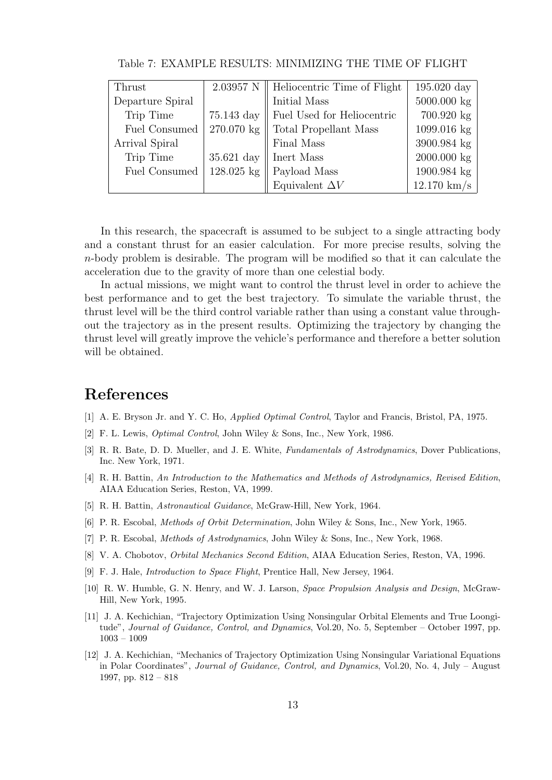| Thrust               |                       | $2.03957$ N   Heliocentric Time of Flight | $195.020~\mathrm{day}$ |
|----------------------|-----------------------|-------------------------------------------|------------------------|
| Departure Spiral     |                       | Initial Mass                              | 5000.000 kg            |
| Trip Time            | $75.143~\mathrm{day}$ | Fuel Used for Heliocentric                | 700.920 kg             |
| <b>Fuel Consumed</b> | 270.070 kg            | Total Propellant Mass                     | 1099.016 kg            |
| Arrival Spiral       |                       | Final Mass                                | 3900.984 kg            |
| Trip Time            | $35.621$ day          | Inert Mass                                | 2000.000 kg            |
| <b>Fuel Consumed</b> | $128.025$ kg          | Payload Mass                              | 1900.984 kg            |
|                      |                       | Equivalent $\Delta V$                     | $12.170 \text{ km/s}$  |

Table 7: EXAMPLE RESULTS: MINIMIZING THE TIME OF FLIGHT

In this research, the spacecraft is assumed to be subject to a single attracting body and a constant thrust for an easier calculation. For more precise results, solving the n-body problem is desirable. The program will be modified so that it can calculate the acceleration due to the gravity of more than one celestial body.

In actual missions, we might want to control the thrust level in order to achieve the best performance and to get the best trajectory. To simulate the variable thrust, the thrust level will be the third control variable rather than using a constant value throughout the trajectory as in the present results. Optimizing the trajectory by changing the thrust level will greatly improve the vehicle's performance and therefore a better solution will be obtained.

# References

- [1] A. E. Bryson Jr. and Y. C. Ho, Applied Optimal Control, Taylor and Francis, Bristol, PA, 1975.
- [2] F. L. Lewis, Optimal Control, John Wiley & Sons, Inc., New York, 1986.
- [3] R. R. Bate, D. D. Mueller, and J. E. White, Fundamentals of Astrodynamics, Dover Publications, Inc. New York, 1971.
- [4] R. H. Battin, An Introduction to the Mathematics and Methods of Astrodynamics, Revised Edition, AIAA Education Series, Reston, VA, 1999.
- [5] R. H. Battin, Astronautical Guidance, McGraw-Hill, New York, 1964.
- [6] P. R. Escobal, Methods of Orbit Determination, John Wiley & Sons, Inc., New York, 1965.
- [7] P. R. Escobal, Methods of Astrodynamics, John Wiley & Sons, Inc., New York, 1968.
- [8] V. A. Chobotov, Orbital Mechanics Second Edition, AIAA Education Series, Reston, VA, 1996.
- [9] F. J. Hale, Introduction to Space Flight, Prentice Hall, New Jersey, 1964.
- [10] R. W. Humble, G. N. Henry, and W. J. Larson, Space Propulsion Analysis and Design, McGraw-Hill, New York, 1995.
- [11] J. A. Kechichian, "Trajectory Optimization Using Nonsingular Orbital Elements and True Loongitude", Journal of Guidance, Control, and Dynamics, Vol.20, No. 5, September – October 1997, pp. 1003 – 1009
- [12] J. A. Kechichian, "Mechanics of Trajectory Optimization Using Nonsingular Variational Equations in Polar Coordinates", Journal of Guidance, Control, and Dynamics, Vol.20, No. 4, July – August 1997, pp. 812 – 818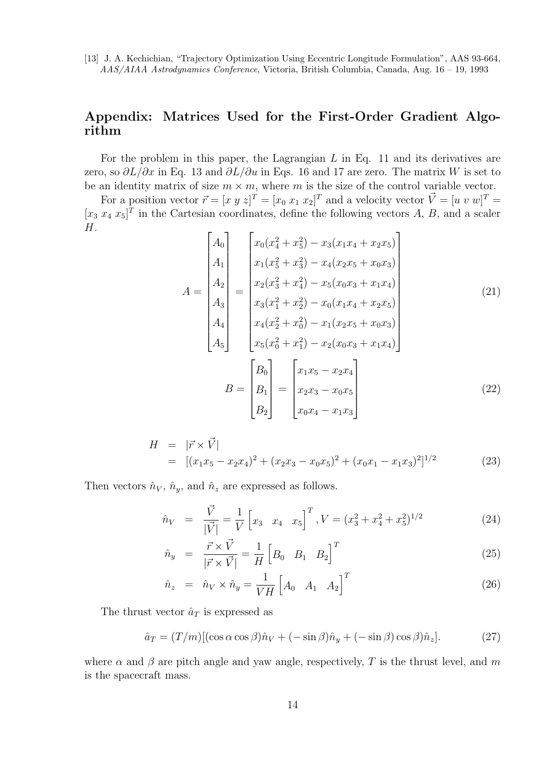[13] J. A. Kechichian, "Trajectory Optimization Using Eccentric Longitude Formulation", AAS 93-664, AAS/AIAA Astrodynamics Conference, Victoria, British Columbia, Canada, Aug. 16 – 19, 1993

# Appendix: Matrices Used for the First-Order Gradient Algorithm

For the problem in this paper, the Lagrangian  $L$  in Eq. 11 and its derivatives are zero, so  $\partial L/\partial x$  in Eq. 13 and  $\partial L/\partial u$  in Eqs. 16 and 17 are zero. The matrix W is set to be an identity matrix of size  $m \times m$ , where m is the size of the control variable vector.

For a position vector  $\vec{r} = [x \ y \ z]^T = [x_0 \ x_1 \ x_2]^T$  and a velocity vector  $\vec{V} = [u \ v \ w]^T =$  $[x_3 x_4 x_5]^T$  in the Cartesian coordinates, define the following vectors A, B, and a scaler  $H$ .

$$
A = \begin{bmatrix} A_0 \\ A_1 \\ A_2 \\ A_3 \\ A_4 \\ A_5 \end{bmatrix} = \begin{bmatrix} x_0(x_4^2 + x_5^2) - x_3(x_1x_4 + x_2x_5) \\ x_1(x_5^2 + x_3^2) - x_4(x_2x_5 + x_0x_3) \\ x_2(x_3^2 + x_4^2) - x_5(x_0x_3 + x_1x_4) \\ x_3(x_1^2 + x_2^2) - x_0(x_1x_4 + x_2x_5) \\ x_4(x_2^2 + x_0^2) - x_1(x_2x_5 + x_0x_3) \\ x_5(x_0^2 + x_1^2) - x_2(x_0x_3 + x_1x_4) \end{bmatrix}
$$
(21)  

$$
B = \begin{bmatrix} B_0 \\ B_1 \\ B_2 \end{bmatrix} = \begin{bmatrix} x_1x_5 - x_2x_4 \\ x_2x_3 - x_0x_5 \\ x_0x_4 - x_1x_3 \end{bmatrix}
$$
(22)

$$
H = |\vec{r} \times \vec{V}|
$$
  
= 
$$
[(x_1x_5 - x_2x_4)^2 + (x_2x_3 - x_0x_5)^2 + (x_0x_1 - x_1x_3)^2]^{1/2}
$$
 (23)

Then vectors  $\hat{n}_V$ ,  $\hat{n}_y$ , and  $\hat{n}_z$  are expressed as follows.

$$
\hat{n}_V = \frac{\vec{V}}{|\vec{V}|} = \frac{1}{V} \begin{bmatrix} x_3 & x_4 & x_5 \end{bmatrix}^T, V = (x_3^2 + x_4^2 + x_5^2)^{1/2}
$$
\n(24)

$$
\hat{n}_y = \frac{\vec{r} \times \vec{V}}{|\vec{r} \times \vec{V}|} = \frac{1}{H} \begin{bmatrix} B_0 & B_1 & B_2 \end{bmatrix}^T
$$
\n(25)

$$
\hat{n}_z = \hat{n}_V \times \hat{n}_y = \frac{1}{V H} \begin{bmatrix} A_0 & A_1 & A_2 \end{bmatrix}^T \tag{26}
$$

The thrust vector  $\hat{a}_T$  is expressed as

$$
\hat{a}_T = (T/m)[(\cos \alpha \cos \beta)\hat{n}_V + (-\sin \beta)\hat{n}_y + (-\sin \beta)\cos \beta)\hat{n}_z].
$$
 (27)

where  $\alpha$  and  $\beta$  are pitch angle and yaw angle, respectively, T is the thrust level, and m is the spacecraft mass.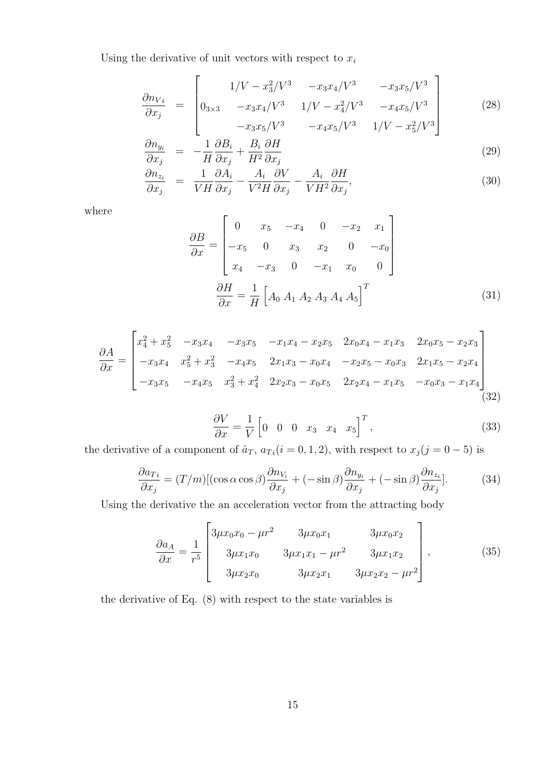Using the derivative of unit vectors with respect to  $x_i$ 

$$
\frac{\partial n_{Vi}}{\partial x_j} = \begin{bmatrix} 1/V - x_3^2/V^3 & -x_3x_4/V^3 & -x_3x_5/V^3\\ 0_{3\times 3} & -x_3x_4/V^3 & 1/V - x_4^2/V^3 & -x_4x_5/V^3\\ -x_3x_5/V^3 & -x_4x_5/V^3 & 1/V - x_5^2/V^3 \end{bmatrix}
$$
(28)

$$
\frac{\partial n_{y_i}}{\partial x_j} = -\frac{1}{H} \frac{\partial B_i}{\partial x_j} + \frac{B_i}{H^2} \frac{\partial H}{\partial x_j}
$$
\n
$$
\frac{\partial n}{\partial x_i} = -\frac{1}{H} \frac{\partial A_i}{\partial x_j} + \frac{B_i}{H^2} \frac{\partial H}{\partial x_j}
$$
\n(29)

$$
\frac{\partial n_{z_i}}{\partial x_j} = \frac{1}{V H} \frac{\partial A_i}{\partial x_j} - \frac{A_i}{V^2 H} \frac{\partial V}{\partial x_j} - \frac{A_i}{V H^2} \frac{\partial H}{\partial x_j},\tag{30}
$$

where

$$
\frac{\partial B}{\partial x} = \begin{bmatrix} 0 & x_5 & -x_4 & 0 & -x_2 & x_1 \\ -x_5 & 0 & x_3 & x_2 & 0 & -x_0 \\ x_4 & -x_3 & 0 & -x_1 & x_0 & 0 \end{bmatrix}
$$

$$
\frac{\partial H}{\partial x} = \frac{1}{H} \begin{bmatrix} A_0 & A_1 & A_2 & A_3 & A_4 & A_5 \end{bmatrix}^T
$$
(31)

$$
\frac{\partial A}{\partial x} = \begin{bmatrix} x_4^2 + x_5^2 & -x_3x_4 & -x_3x_5 & -x_1x_4 - x_2x_5 & 2x_0x_4 - x_1x_3 & 2x_0x_5 - x_2x_3 \\ -x_3x_4 & x_5^2 + x_3^2 & -x_4x_5 & 2x_1x_3 - x_0x_4 & -x_2x_5 - x_0x_3 & 2x_1x_5 - x_2x_4 \\ -x_3x_5 & -x_4x_5 & x_3^2 + x_4^2 & 2x_2x_3 - x_0x_5 & 2x_2x_4 - x_1x_5 & -x_0x_3 - x_1x_4 \\ \end{bmatrix}
$$
(32)

$$
\frac{\partial V}{\partial x} = \frac{1}{V} \begin{bmatrix} 0 & 0 & 0 & x_3 & x_4 & x_5 \end{bmatrix}^T, \tag{33}
$$

the derivative of a component of  $\hat{a}_T$ ,  $a_{T_i}(i=0,1,2)$ , with respect to  $x_j(j=0-5)$  is

$$
\frac{\partial a_{Ti}}{\partial x_j} = (T/m)[(\cos \alpha \cos \beta) \frac{\partial n_{V_i}}{\partial x_j} + (-\sin \beta) \frac{\partial n_{y_i}}{\partial x_j} + (-\sin \beta) \frac{\partial n_{z_i}}{\partial x_j}].
$$
(34)

Using the derivative the an acceleration vector from the attracting body

$$
\frac{\partial a_A}{\partial x} = \frac{1}{r^5} \begin{bmatrix} 3\mu x_0 x_0 - \mu r^2 & 3\mu x_0 x_1 & 3\mu x_0 x_2 \\ 3\mu x_1 x_0 & 3\mu x_1 x_1 - \mu r^2 & 3\mu x_1 x_2 \\ 3\mu x_2 x_0 & 3\mu x_2 x_1 & 3\mu x_2 x_2 - \mu r^2 \end{bmatrix},
$$
(35)

the derivative of Eq. (8) with respect to the state variables is